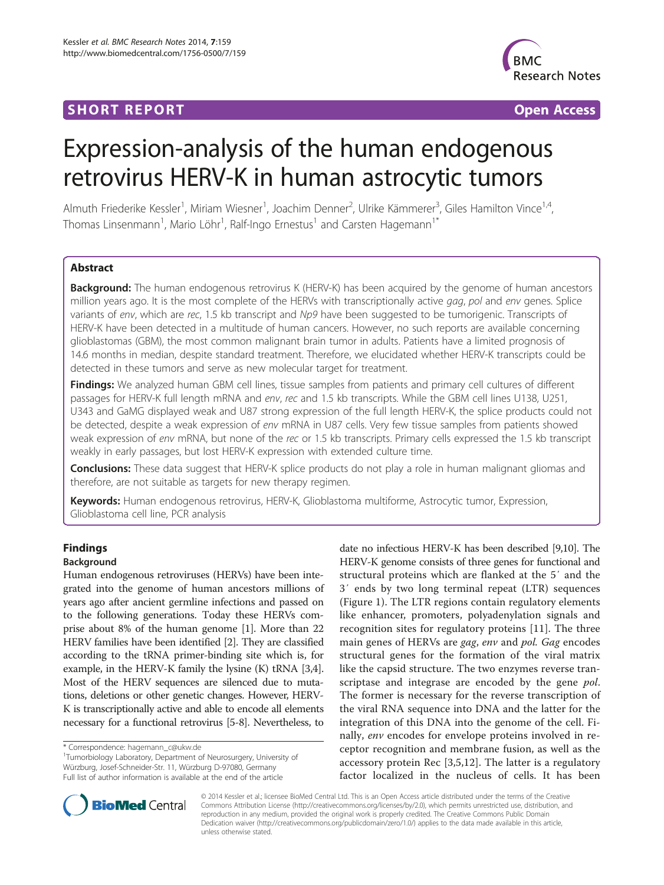## **SHORT REPORT SHORT CONSUMING THE SHORT CONSUMING THE SHORT CONSUMING THE SHORT CONSUMING THE SHORT CONSUMING THE SHORT CONSUMING THE SHORT CONSUMING THE SHORT CONSUMING THE SHORT CONSUMING THE SHORT CONSUMING THE SHORT**



# Expression-analysis of the human endogenous retrovirus HERV-K in human astrocytic tumors

Almuth Friederike Kessler<sup>1</sup>, Miriam Wiesner<sup>1</sup>, Joachim Denner<sup>2</sup>, Ulrike Kämmerer<sup>3</sup>, Giles Hamilton Vince<sup>1,4</sup>, Thomas Linsenmann<sup>1</sup>, Mario Löhr<sup>1</sup>, Ralf-Ingo Ernestus<sup>1</sup> and Carsten Hagemann<sup>1\*</sup>

## Abstract

**Background:** The human endogenous retrovirus K (HERV-K) has been acquired by the genome of human ancestors million years ago. It is the most complete of the HERVs with transcriptionally active gag, pol and env genes. Splice variants of env, which are rec, 1.5 kb transcript and Np9 have been suggested to be tumorigenic. Transcripts of HERV-K have been detected in a multitude of human cancers. However, no such reports are available concerning glioblastomas (GBM), the most common malignant brain tumor in adults. Patients have a limited prognosis of 14.6 months in median, despite standard treatment. Therefore, we elucidated whether HERV-K transcripts could be detected in these tumors and serve as new molecular target for treatment.

Findings: We analyzed human GBM cell lines, tissue samples from patients and primary cell cultures of different passages for HERV-K full length mRNA and env, rec and 1.5 kb transcripts. While the GBM cell lines U138, U251, U343 and GaMG displayed weak and U87 strong expression of the full length HERV-K, the splice products could not be detected, despite a weak expression of env mRNA in U87 cells. Very few tissue samples from patients showed weak expression of env mRNA, but none of the rec or 1.5 kb transcripts. Primary cells expressed the 1.5 kb transcript weakly in early passages, but lost HERV-K expression with extended culture time.

Conclusions: These data suggest that HERV-K splice products do not play a role in human malignant gliomas and therefore, are not suitable as targets for new therapy regimen.

Keywords: Human endogenous retrovirus, HERV-K, Glioblastoma multiforme, Astrocytic tumor, Expression, Glioblastoma cell line, PCR analysis

## Findings

## Background

Human endogenous retroviruses (HERVs) have been integrated into the genome of human ancestors millions of years ago after ancient germline infections and passed on to the following generations. Today these HERVs comprise about 8% of the human genome [[1\]](#page-4-0). More than 22 HERV families have been identified [[2\]](#page-4-0). They are classified according to the tRNA primer-binding site which is, for example, in the HERV-K family the lysine (K) tRNA [[3](#page-4-0),[4](#page-4-0)]. Most of the HERV sequences are silenced due to mutations, deletions or other genetic changes. However, HERV-K is transcriptionally active and able to encode all elements necessary for a functional retrovirus [\[5-8](#page-4-0)]. Nevertheless, to

<sup>1</sup>Tumorbiology Laboratory, Department of Neurosurgery, University of Würzburg, Josef-Schneider-Str. 11, Würzburg D-97080, Germany Full list of author information is available at the end of the article

date no infectious HERV-K has been described [\[9,10\]](#page-4-0). The HERV-K genome consists of three genes for functional and structural proteins which are flanked at the 5′ and the 3′ ends by two long terminal repeat (LTR) sequences (Figure [1\)](#page-1-0). The LTR regions contain regulatory elements like enhancer, promoters, polyadenylation signals and recognition sites for regulatory proteins [[11\]](#page-4-0). The three main genes of HERVs are gag, env and pol. Gag encodes structural genes for the formation of the viral matrix like the capsid structure. The two enzymes reverse transcriptase and integrase are encoded by the gene pol. The former is necessary for the reverse transcription of the viral RNA sequence into DNA and the latter for the integration of this DNA into the genome of the cell. Finally, env encodes for envelope proteins involved in receptor recognition and membrane fusion, as well as the accessory protein Rec [[3,5,12](#page-4-0)]. The latter is a regulatory factor localized in the nucleus of cells. It has been



© 2014 Kessler et al.; licensee BioMed Central Ltd. This is an Open Access article distributed under the terms of the Creative Commons Attribution License [\(http://creativecommons.org/licenses/by/2.0\)](http://creativecommons.org/licenses/by/2.0), which permits unrestricted use, distribution, and reproduction in any medium, provided the original work is properly credited. The Creative Commons Public Domain Dedication waiver [\(http://creativecommons.org/publicdomain/zero/1.0/](http://creativecommons.org/publicdomain/zero/1.0/)) applies to the data made available in this article, unless otherwise stated.

<sup>\*</sup> Correspondence: [hagemann\\_c@ukw.de](mailto:hagemann_c@ukw.de) <sup>1</sup>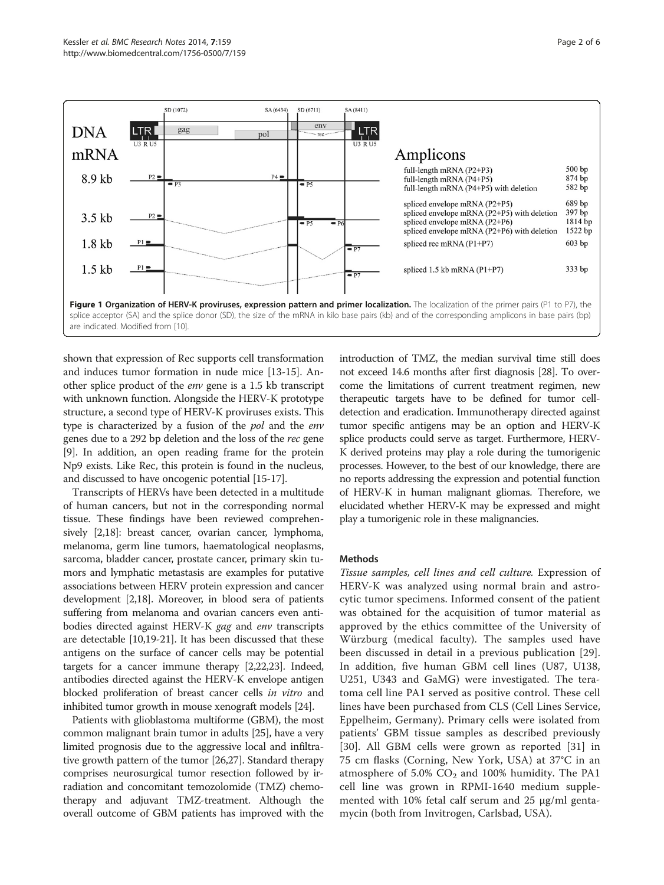

<span id="page-1-0"></span>

shown that expression of Rec supports cell transformation and induces tumor formation in nude mice [\[13-15\]](#page-4-0). Another splice product of the env gene is a 1.5 kb transcript with unknown function. Alongside the HERV-K prototype structure, a second type of HERV-K proviruses exists. This type is characterized by a fusion of the pol and the env genes due to a 292 bp deletion and the loss of the rec gene [[9\]](#page-4-0). In addition, an open reading frame for the protein Np9 exists. Like Rec, this protein is found in the nucleus, and discussed to have oncogenic potential [[15](#page-4-0)-[17\]](#page-4-0).

Transcripts of HERVs have been detected in a multitude of human cancers, but not in the corresponding normal tissue. These findings have been reviewed comprehensively [\[2,18\]](#page-4-0): breast cancer, ovarian cancer, lymphoma, melanoma, germ line tumors, haematological neoplasms, sarcoma, bladder cancer, prostate cancer, primary skin tumors and lymphatic metastasis are examples for putative associations between HERV protein expression and cancer development [[2,18](#page-4-0)]. Moreover, in blood sera of patients suffering from melanoma and ovarian cancers even antibodies directed against HERV-K gag and env transcripts are detectable [[10](#page-4-0),[19](#page-4-0)-[21](#page-4-0)]. It has been discussed that these antigens on the surface of cancer cells may be potential targets for a cancer immune therapy [[2,22,23\]](#page-4-0). Indeed, antibodies directed against the HERV-K envelope antigen blocked proliferation of breast cancer cells in vitro and inhibited tumor growth in mouse xenograft models [\[24\]](#page-5-0).

Patients with glioblastoma multiforme (GBM), the most common malignant brain tumor in adults [[25](#page-5-0)], have a very limited prognosis due to the aggressive local and infiltrative growth pattern of the tumor [\[26,27](#page-5-0)]. Standard therapy comprises neurosurgical tumor resection followed by irradiation and concomitant temozolomide (TMZ) chemotherapy and adjuvant TMZ-treatment. Although the overall outcome of GBM patients has improved with the introduction of TMZ, the median survival time still does not exceed 14.6 months after first diagnosis [[28](#page-5-0)]. To overcome the limitations of current treatment regimen, new therapeutic targets have to be defined for tumor celldetection and eradication. Immunotherapy directed against tumor specific antigens may be an option and HERV-K splice products could serve as target. Furthermore, HERV-K derived proteins may play a role during the tumorigenic processes. However, to the best of our knowledge, there are no reports addressing the expression and potential function of HERV-K in human malignant gliomas. Therefore, we elucidated whether HERV-K may be expressed and might play a tumorigenic role in these malignancies.

### Methods

Tissue samples, cell lines and cell culture. Expression of HERV-K was analyzed using normal brain and astrocytic tumor specimens. Informed consent of the patient was obtained for the acquisition of tumor material as approved by the ethics committee of the University of Würzburg (medical faculty). The samples used have been discussed in detail in a previous publication [\[29](#page-5-0)]. In addition, five human GBM cell lines (U87, U138, U251, U343 and GaMG) were investigated. The teratoma cell line PA1 served as positive control. These cell lines have been purchased from CLS (Cell Lines Service, Eppelheim, Germany). Primary cells were isolated from patients' GBM tissue samples as described previously [[30](#page-5-0)]. All GBM cells were grown as reported [[31\]](#page-5-0) in 75 cm flasks (Corning, New York, USA) at 37°C in an atmosphere of 5.0%  $CO<sub>2</sub>$  and 100% humidity. The PA1 cell line was grown in RPMI-1640 medium supplemented with 10% fetal calf serum and 25 μg/ml gentamycin (both from Invitrogen, Carlsbad, USA).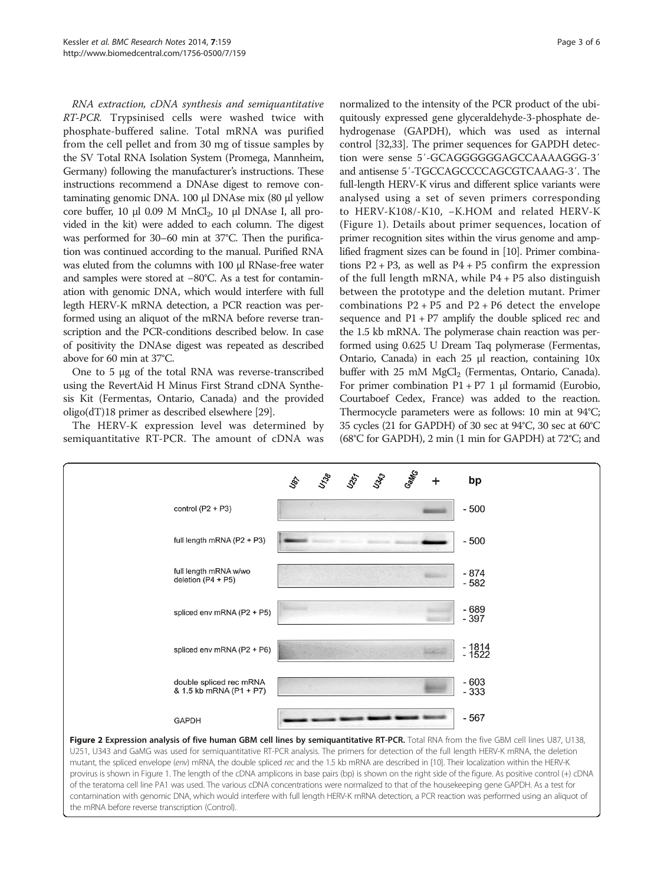<span id="page-2-0"></span>RNA extraction, cDNA synthesis and semiquantitative RT-PCR. Trypsinised cells were washed twice with phosphate-buffered saline. Total mRNA was purified from the cell pellet and from 30 mg of tissue samples by the SV Total RNA Isolation System (Promega, Mannheim, Germany) following the manufacturer's instructions. These instructions recommend a DNAse digest to remove contaminating genomic DNA. 100 μl DNAse mix (80 μl yellow core buffer, 10 μl 0.09 M MnCl<sub>2</sub>, 10 μl DNAse I, all provided in the kit) were added to each column. The digest was performed for 30–60 min at 37°C. Then the purification was continued according to the manual. Purified RNA was eluted from the columns with 100 μl RNase-free water and samples were stored at −80°C. As a test for contamination with genomic DNA, which would interfere with full legth HERV-K mRNA detection, a PCR reaction was performed using an aliquot of the mRNA before reverse transcription and the PCR-conditions described below. In case of positivity the DNAse digest was repeated as described above for 60 min at 37°C.

One to 5 μg of the total RNA was reverse-transcribed using the RevertAid H Minus First Strand cDNA Synthesis Kit (Fermentas, Ontario, Canada) and the provided oligo(dT)18 primer as described elsewhere [[29\]](#page-5-0).

The HERV-K expression level was determined by semiquantitative RT-PCR. The amount of cDNA was

normalized to the intensity of the PCR product of the ubiquitously expressed gene glyceraldehyde-3-phosphate dehydrogenase (GAPDH), which was used as internal control [[32,33](#page-5-0)]. The primer sequences for GAPDH detection were sense 5′-GCAGGGGGGAGCCAAAAGGG-3′ and antisense 5′-TGCCAGCCCCAGCGTCAAAG-3′. The full-length HERV-K virus and different splice variants were analysed using a set of seven primers corresponding to HERV-K108/-K10, −K.HOM and related HERV-K (Figure [1](#page-1-0)). Details about primer sequences, location of primer recognition sites within the virus genome and amplified fragment sizes can be found in [\[10](#page-4-0)]. Primer combinations  $P2 + P3$ , as well as  $P4 + P5$  confirm the expression of the full length mRNA, while P4 + P5 also distinguish between the prototype and the deletion mutant. Primer combinations  $P2 + P5$  and  $P2 + P6$  detect the envelope sequence and  $P1 + P7$  amplify the double spliced rec and the 1.5 kb mRNA. The polymerase chain reaction was performed using 0.625 U Dream Taq polymerase (Fermentas, Ontario, Canada) in each 25 μl reaction, containing 10x buffer with 25 mM  $MgCl<sub>2</sub>$  (Fermentas, Ontario, Canada). For primer combination  $P1 + P7$  1 μl formamid (Eurobio, Courtaboef Cedex, France) was added to the reaction. Thermocycle parameters were as follows: 10 min at 94°C; 35 cycles (21 for GAPDH) of 30 sec at 94°C, 30 sec at 60°C (68°C for GAPDH), 2 min (1 min for GAPDH) at 72°C; and



U251, U343 and GaMG was used for semiquantitative RT-PCR analysis. The primers for detection of the full length HERV-K mRNA, the deletion mutant, the spliced envelope (env) mRNA, the double spliced rec and the 1.5 kb mRNA are described in [\[10\]](#page-4-0). Their localization within the HERV-K provirus is shown in Figure [1.](#page-1-0) The length of the cDNA amplicons in base pairs (bp) is shown on the right side of the figure. As positive control (+) cDNA of the teratoma cell line PA1 was used. The various cDNA concentrations were normalized to that of the housekeeping gene GAPDH. As a test for contamination with genomic DNA, which would interfere with full length HERV-K mRNA detection, a PCR reaction was performed using an aliquot of the mRNA before reverse transcription (Control).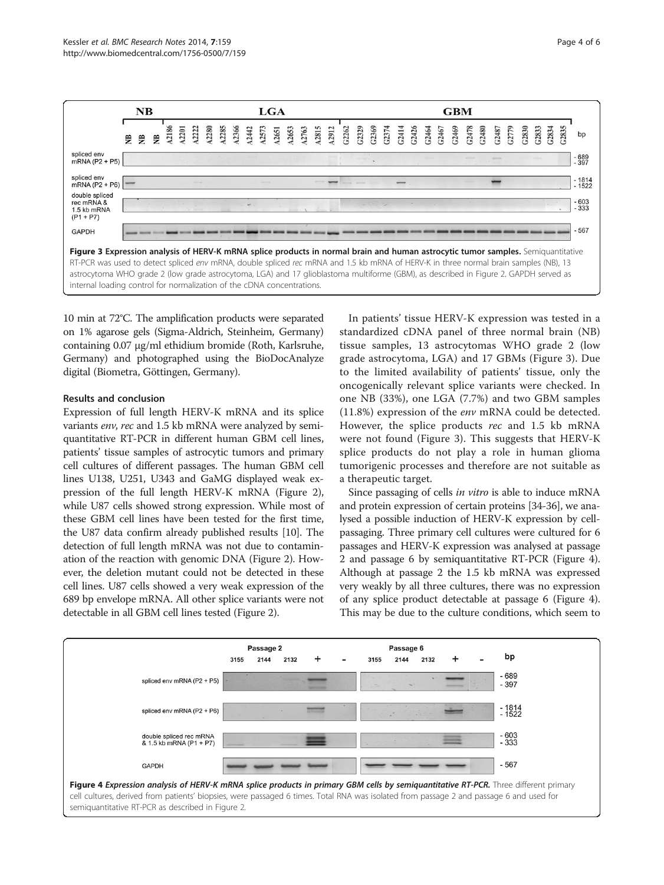

10 min at 72°C. The amplification products were separated on 1% agarose gels (Sigma-Aldrich, Steinheim, Germany) containing 0.07 μg/ml ethidium bromide (Roth, Karlsruhe, Germany) and photographed using the BioDocAnalyze digital (Biometra, Göttingen, Germany).

internal loading control for normalization of the cDNA concentrations.

## Results and conclusion

Expression of full length HERV-K mRNA and its splice variants env, rec and 1.5 kb mRNA were analyzed by semiquantitative RT-PCR in different human GBM cell lines, patients' tissue samples of astrocytic tumors and primary cell cultures of different passages. The human GBM cell lines U138, U251, U343 and GaMG displayed weak expression of the full length HERV-K mRNA (Figure [2](#page-2-0)), while U87 cells showed strong expression. While most of these GBM cell lines have been tested for the first time, the U87 data confirm already published results [\[10\]](#page-4-0). The detection of full length mRNA was not due to contamination of the reaction with genomic DNA (Figure [2\)](#page-2-0). However, the deletion mutant could not be detected in these cell lines. U87 cells showed a very weak expression of the 689 bp envelope mRNA. All other splice variants were not detectable in all GBM cell lines tested (Figure [2](#page-2-0)).

In patients' tissue HERV-K expression was tested in a standardized cDNA panel of three normal brain (NB) tissue samples, 13 astrocytomas WHO grade 2 (low grade astrocytoma, LGA) and 17 GBMs (Figure 3). Due to the limited availability of patients' tissue, only the oncogenically relevant splice variants were checked. In one NB (33%), one LGA (7.7%) and two GBM samples (11.8%) expression of the env mRNA could be detected. However, the splice products rec and 1.5 kb mRNA were not found (Figure 3). This suggests that HERV-K splice products do not play a role in human glioma tumorigenic processes and therefore are not suitable as a therapeutic target.

Since passaging of cells in vitro is able to induce mRNA and protein expression of certain proteins [\[34-36\]](#page-5-0), we analysed a possible induction of HERV-K expression by cellpassaging. Three primary cell cultures were cultured for 6 passages and HERV-K expression was analysed at passage 2 and passage 6 by semiquantitative RT-PCR (Figure 4). Although at passage 2 the 1.5 kb mRNA was expressed very weakly by all three cultures, there was no expression of any splice product detectable at passage 6 (Figure 4). This may be due to the culture conditions, which seem to

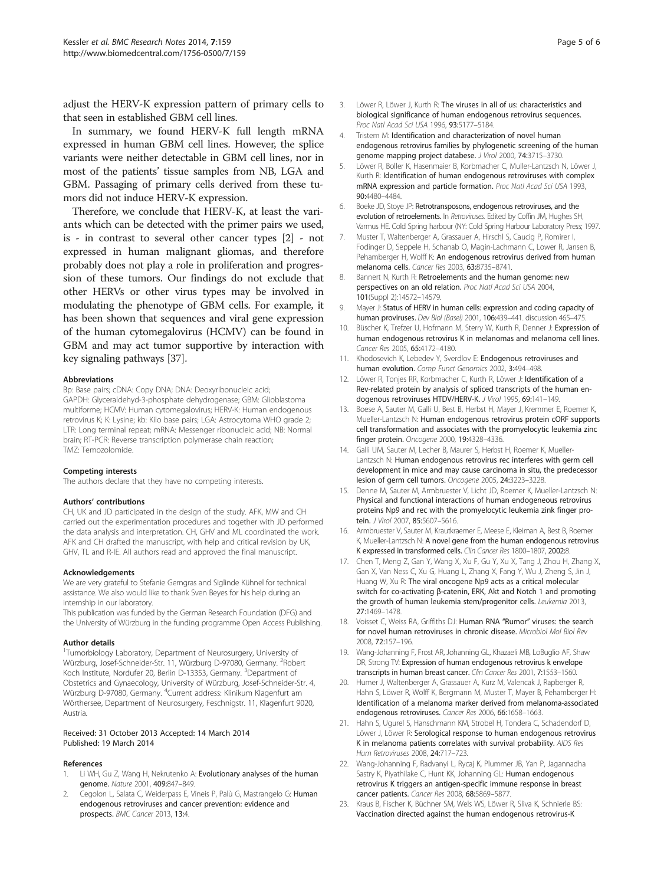<span id="page-4-0"></span>adjust the HERV-K expression pattern of primary cells to that seen in established GBM cell lines.

In summary, we found HERV-K full length mRNA expressed in human GBM cell lines. However, the splice variants were neither detectable in GBM cell lines, nor in most of the patients' tissue samples from NB, LGA and GBM. Passaging of primary cells derived from these tumors did not induce HERV-K expression.

Therefore, we conclude that HERV-K, at least the variants which can be detected with the primer pairs we used, is - in contrast to several other cancer types [2] - not expressed in human malignant gliomas, and therefore probably does not play a role in proliferation and progression of these tumors. Our findings do not exclude that other HERVs or other virus types may be involved in modulating the phenotype of GBM cells. For example, it has been shown that sequences and viral gene expression of the human cytomegalovirus (HCMV) can be found in GBM and may act tumor supportive by interaction with key signaling pathways [\[37\]](#page-5-0).

#### Abbreviations

Bp: Base pairs; cDNA: Copy DNA; DNA: Deoxyribonucleic acid; GAPDH: Glyceraldehyd-3-phosphate dehydrogenase; GBM: Glioblastoma multiforme; HCMV: Human cytomegalovirus; HERV-K: Human endogenous retrovirus K; K: Lysine; kb: Kilo base pairs; LGA: Astrocytoma WHO grade 2; LTR: Long terminal repeat; mRNA: Messenger ribonucleic acid; NB: Normal brain; RT-PCR: Reverse transcription polymerase chain reaction; TMZ: Temozolomide.

#### Competing interests

The authors declare that they have no competing interests.

#### Authors' contributions

CH, UK and JD participated in the design of the study. AFK, MW and CH carried out the experimentation procedures and together with JD performed the data analysis and interpretation. CH, GHV and ML coordinated the work. AFK and CH drafted the manuscript, with help and critical revision by UK, GHV, TL and R-IE. All authors read and approved the final manuscript.

#### Acknowledgements

We are very grateful to Stefanie Gerngras and Siglinde Kühnel for technical assistance. We also would like to thank Sven Beyes for his help during an internship in our laboratory.

This publication was funded by the German Research Foundation (DFG) and the University of Würzburg in the funding programme Open Access Publishing.

#### Author details

<sup>1</sup>Tumorbiology Laboratory, Department of Neurosurgery, University of Würzburg, Josef-Schneider-Str. 11, Würzburg D-97080, Germany. <sup>2</sup>Robert Koch Institute, Nordufer 20, Berlin D-13353, Germany. <sup>3</sup>Department of Obstetrics and Gynaecology, University of Würzburg, Josef-Schneider-Str. 4, Würzburg D-97080, Germany. <sup>4</sup> Current address: Klinikum Klagenfurt am Wörthersee, Department of Neurosurgery, Feschnigstr. 11, Klagenfurt 9020, Austria.

#### Received: 31 October 2013 Accepted: 14 March 2014 Published: 19 March 2014

#### References

- 1. Li WH, Gu Z, Wang H, Nekrutenko A: Evolutionary analyses of the human genome. Nature 2001, 409:847–849.
- Cegolon L, Salata C, Weiderpass E, Vineis P, Palù G, Mastrangelo G: Human endogenous retroviruses and cancer prevention: evidence and prospects. BMC Cancer 2013, 13:4.
- 3. Löwer R, Löwer J, Kurth R: The viruses in all of us: characteristics and biological significance of human endogenous retrovirus sequences. Proc Natl Acad Sci USA 1996, 93:5177–5184.
- 4. Tristem M: Identification and characterization of novel human endogenous retrovirus families by phylogenetic screening of the human genome mapping project databese. J Virol 2000, 74:3715–3730.
- 5. Löwer R, Boller K, Hasenmaier B, Korbmacher C, Muller-Lantzsch N, Löwer J, Kurth R: Identification of human endogenous retroviruses with complex mRNA expression and particle formation. Proc Natl Acad Sci USA 1993, 90:4480–4484.
- 6. Boeke JD, Stoye JP: Retrotransposons, endogenous retroviruses, and the evolution of retroelements. In Retroviruses. Edited by Coffin JM, Hughes SH, Varmus HE. Cold Spring harbour (NY: Cold Spring Harbour Laboratory Press; 1997.
- 7. Muster T, Waltenberger A, Grassauer A, Hirschl S, Caucig P, Romirer I, Fodinger D, Seppele H, Schanab O, Magin-Lachmann C, Lower R, Jansen B, Pehamberger H, Wolff K: An endogenous retrovirus derived from human melanoma cells. Cancer Res 2003, 63:8735–8741.
- 8. Bannert N, Kurth R: Retroelements and the human genome: new perspectives on an old relation. Proc Natl Acad Sci USA 2004, 101(Suppl 2):14572–14579.
- 9. Mayer J: Status of HERV in human cells: expression and coding capacity of human proviruses. Dev Biol (Basel) 2001, 106:439-441. discussion 465-475.
- 10. Büscher K, Trefzer U, Hofmann M, Sterry W, Kurth R, Denner J: Expression of human endogenous retrovirus K in melanomas and melanoma cell lines. Cancer Res 2005, 65:4172–4180.
- 11. Khodosevich K, Lebedev Y, Sverdlov E: Endogenous retroviruses and human evolution. Comp Funct Genomics 2002, 3:494–498.
- 12. Löwer R, Tonjes RR, Korbmacher C, Kurth R, Löwer J: Identification of a Rev-related protein by analysis of spliced transcripts of the human endogenous retroviruses HTDV/HERV-K. J Virol 1995, 69:141–149.
- 13. Boese A, Sauter M, Galli U, Best B, Herbst H, Mayer J, Kremmer E, Roemer K, Mueller-Lantzsch N: Human endogenous retrovirus protein cORF supports cell transformation and associates with the promyelocytic leukemia zinc finger protein. Oncogene 2000, 19:4328–4336.
- 14. Galli UM, Sauter M, Lecher B, Maurer S, Herbst H, Roemer K, Mueller-Lantzsch N: Human endogenous retrovirus rec interferes with germ cell development in mice and may cause carcinoma in situ, the predecessor lesion of germ cell tumors. Oncogene 2005, 24:3223–3228.
- 15. Denne M, Sauter M, Armbruester V, Licht JD, Roemer K, Mueller-Lantzsch N: Physical and functional interactions of human endogeneous retrovirus proteins Np9 and rec with the promyelocytic leukemia zink finger protein. J Virol 2007, 85:5607–5616.
- 16. Armbruester V, Sauter M, Krautkraemer E, Meese E, Kleiman A, Best B, Roemer K, Mueller-Lantzsch N: A novel gene from the human endogenous retrovirus K expressed in transformed cells. Clin Cancer Res 1800-1807, 2002:8.
- 17. Chen T, Meng Z, Gan Y, Wang X, Xu F, Gu Y, Xu X, Tang J, Zhou H, Zhang X, Gan X, Van Ness C, Xu G, Huang L, Zhang X, Fang Y, Wu J, Zheng S, Jin J, Huang W, Xu R: The viral oncogene Np9 acts as a critical molecular switch for co-activating β-catenin, ERK, Akt and Notch 1 and promoting the growth of human leukemia stem/progenitor cells. Leukemia 2013, 27:1469–1478.
- 18. Voisset C, Weiss RA, Griffiths DJ: Human RNA "Rumor" viruses: the search for novel human retroviruses in chronic disease. Microbiol Mol Biol Rev 2008, 72:157–196.
- 19. Wang-Johanning F, Frost AR, Johanning GL, Khazaeli MB, LoBuglio AF, Shaw DR, Strong TV: Expression of human endogenous retrovirus k envelope transcripts in human breast cancer. Clin Cancer Res 2001, 7:1553–1560.
- 20. Humer J, Waltenberger A, Grassauer A, Kurz M, Valencak J, Rapberger R, Hahn S, Löwer R, Wolff K, Bergmann M, Muster T, Mayer B, Pehamberger H: Identification of a melanoma marker derived from melanoma-associated endogenous retroviruses. Cancer Res 2006, 66:1658–1663.
- 21. Hahn S, Ugurel S, Hanschmann KM, Strobel H, Tondera C, Schadendorf D, Löwer J, Löwer R: Serological response to human endogenous retrovirus K in melanoma patients correlates with survival probability. AIDS Res Hum Retroviruses 2008, 24:717-723.
- 22. Wang-Johanning F, Radvanyi L, Rycaj K, Plummer JB, Yan P, Jagannadha Sastry K, Piyathilake C, Hunt KK, Johanning GL: Human endogenous retrovirus K triggers an antigen-specific immune response in breast cancer patients. Cancer Res 2008, 68:5869–5877.
- 23. Kraus B, Fischer K, Büchner SM, Wels WS, Löwer R, Sliva K, Schnierle BS: Vaccination directed against the human endogenous retrovirus-K